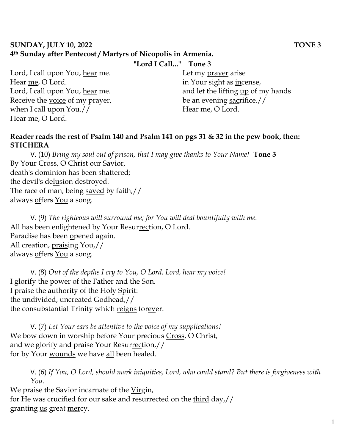#### **SUNDAY, JULY 10, 2022 TONE 3 4th Sunday after Pentecost / Martyrs of Nicopolis in Armenia.**

Lord, I call upon You, hear me. Hear me, O Lord. Lord, I call upon You, hear me. Receive the voice of my prayer, when I call upon You.// Hear me, O Lord.

# **"Lord I Call..." Tone 3**

Let my prayer arise in Your sight as incense, and let the lifting up of my hands be an evening sacrifice.// Hear me, O Lord.

### **Reader reads the rest of Psalm 140 and Psalm 141 on pgs 31 & 32 in the pew book, then: STICHERA**

V. (10) *Bring my soul out of prison, that I may give thanks to Your Name!* **Tone 3** By Your Cross, O Christ our Savior, death's dominion has been shattered; the devil's delusion destroyed. The race of man, being saved by faith,// always offers You a song.

V. (9) *The righteous will surround me; for You will deal bountifully with me.*  All has been enlightened by Your Resurrection, O Lord. Paradise has been opened again. All creation, praising You,// always offers You a song.

V. (8) *Out of the depths I cry to You, O Lord. Lord, hear my voice!*  I glorify the power of the Father and the Son. I praise the authority of the Holy Spirit: the undivided, uncreated Godhead,// the consubstantial Trinity which reigns forever.

V. (7) *Let Your ears be attentive to the voice of my supplications!* We bow down in worship before Your precious Cross, O Christ, and we glorify and praise Your Resurrection,// for by Your wounds we have all been healed.

V. (6) *If You, O Lord, should mark iniquities, Lord, who could stand? But there is forgiveness with You.* 

We praise the Savior incarnate of the Virgin, for He was crucified for our sake and resurrected on the third day,// granting <u>us</u> great mercy.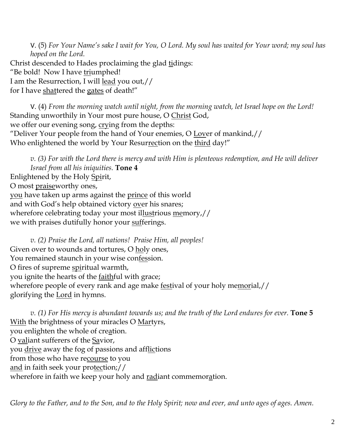V. (5) *For Your Name's sake I wait for You, O Lord. My soul has waited for Your word; my soul has hoped on the Lord.*  Christ descended to Hades proclaiming the glad tidings: "Be bold! Now I have triumphed! I am the Resurrection, I will lead you out,// for I have shattered the gates of death!"

V. (4) *From the morning watch until night, from the morning watch, let Israel hope on the Lord!*  Standing unworthily in Your most pure house, O Christ God, we offer our evening song, crying from the depths: "Deliver Your people from the hand of Your enemies, O Lover of mankind,// Who enlightened the world by Your Resurrection on the third day!"

*v. (3) For with the Lord there is mercy and with Him is plenteous redemption, and He will deliver Israel from all his iniquities.* **Tone 4** Enlightened by the Holy Spirit, O most praiseworthy ones, you have taken up arms against the prince of this world and with God's help obtained victory over his snares; wherefore celebrating today your most illustrious memory,// we with praises dutifully honor your sufferings.

*v. (2) Praise the Lord, all nations! Praise Him, all peoples!* Given over to wounds and tortures, O holy ones, You remained staunch in your wise confession. O fires of supreme spiritual warmth, you ignite the hearts of the faithful with grace; wherefore people of every rank and age make festival of your holy memorial,// glorifying the Lord in hymns.

*v. (1) For His mercy is abundant towards us; and the truth of the Lord endures for ever.* **Tone 5** With the brightness of your miracles O Martyrs, you enlighten the whole of creation. O valiant sufferers of the Savior, you drive away the fog of passions and afflictions from those who have recourse to you and in faith seek your protection;// wherefore in faith we keep your holy and radiant commemoration.

*Glory to the Father, and to the Son, and to the Holy Spirit; now and ever, and unto ages of ages. Amen.*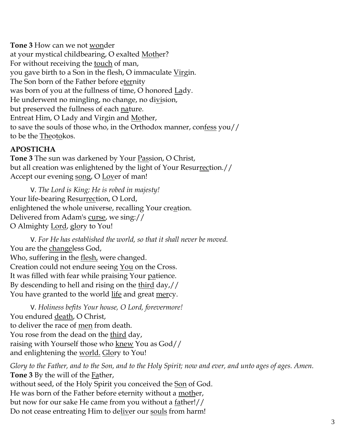**Tone 3** How can we not wonder at your mystical childbearing, O exalted Mother? For without receiving the touch of man, you gave birth to a Son in the flesh, O immaculate Virgin. The Son born of the Father before eternity was born of you at the fullness of time, O honored Lady. He underwent no mingling, no change, no division, but preserved the fullness of each nature. Entreat Him, O Lady and Virgin and Mother, to save the souls of those who, in the Orthodox manner, confess you// to be the Theotokos.

# **APOSTICHA**

**Tone 3** The sun was darkened by Your Passion, O Christ, but all creation was enlightened by the light of Your Resurrection.// Accept our evening song, O Lover of man!

V. *The Lord is King; He is robed in majesty!*  Your life-bearing Resurrection, O Lord, enlightened the whole universe, recalling Your creation. Delivered from Adam's curse, we sing:// O Almighty Lord, glory to You!

V. *For He has established the world, so that it shall never be moved.* You are the changeless God, Who, suffering in the flesh, were changed. Creation could not endure seeing You on the Cross. It was filled with fear while praising Your patience. By descending to hell and rising on the third day,// You have granted to the world life and great mercy.

V. *Holiness befits Your house, O Lord, forevermore!*  You endured death, O Christ, to deliver the race of men from death. You rose from the dead on the third day, raising with Yourself those who knew You as God// and enlightening the world. Glory to You!

*Glory to the Father, and to the Son, and to the Holy Spirit; now and ever, and unto ages of ages. Amen.* **Tone 3** By the will of the Father, without seed, of the Holy Spirit you conceived the Son of God. He was born of the Father before eternity without a mother, but now for our sake He came from you without a father!// Do not cease entreating Him to deliver our souls from harm!